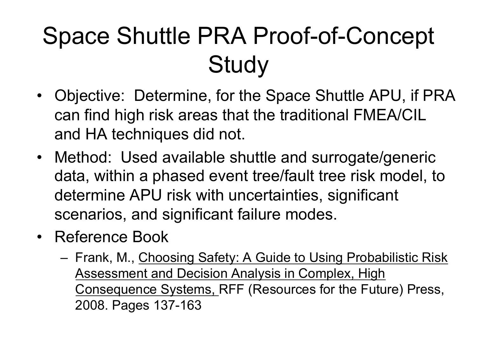#### Space Shuttle PRA Proof-of-Concept **Study**

- Objective: Determine, for the Space Shuttle APU, if PRA can find high risk areas that the traditional FMEA/CIL and HA techniques did not.
- Method: Used available shuttle and surrogate/generic data, within a phased event tree/fault tree risk model, to determine APU risk with uncertainties, significant scenarios, and significant failure modes.
- Reference Book
	- Frank, M., Choosing Safety: A Guide to Using Probabilistic Risk Assessment and Decision Analysis in Complex, High Consequence Systems, RFF (Resources for the Future) Press, 2008. Pages 137-163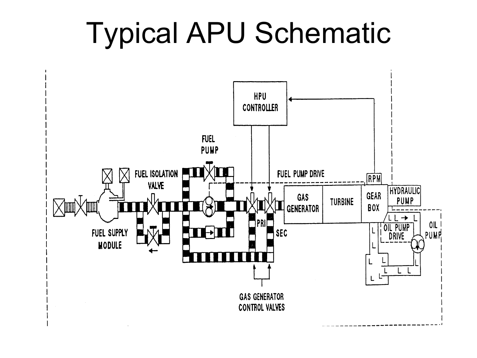## Typical APU Schematic

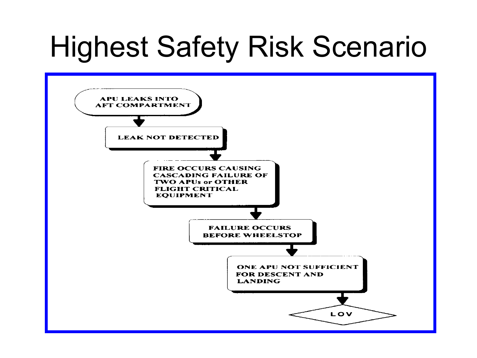# Highest Safety Risk Scenario

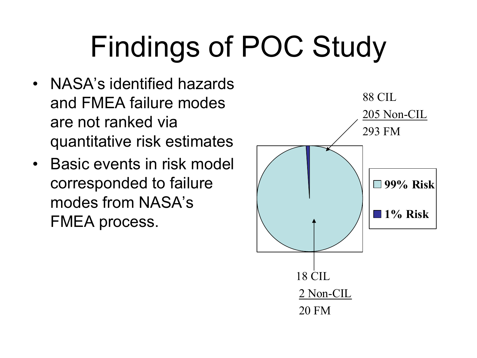# Findings of POC Study

- NASA's identified hazards and FMEA failure modes are not ranked via quantitative risk estimates
- Basic events in risk model corresponded to failure modes from NASA's FMEA process.

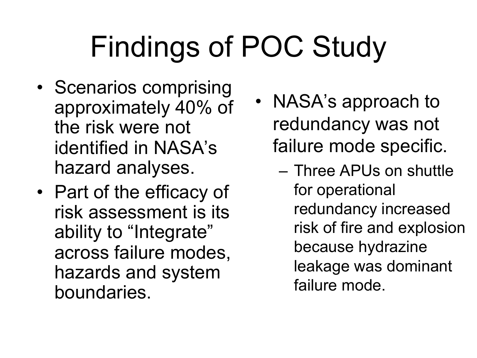# Findings of POC Study

- Scenarios comprising approximately 40% of the risk were not identified in NASA's hazard analyses.
- Part of the efficacy of risk assessment is its ability to "Integrate" across failure modes, hazards and system boundaries.
- NASA's approach to redundancy was not failure mode specific.
	- Three APUs on shuttle for operational redundancy increased risk of fire and explosion because hydrazine leakage was dominant failure mode.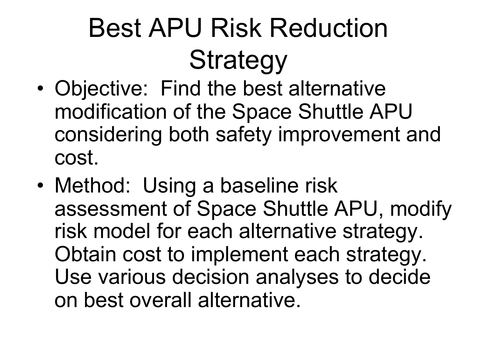## Best APU Risk Reduction **Strategy**

- Objective: Find the best alternative modification of the Space Shuttle APU considering both safety improvement and cost.
- Method: Using a baseline risk assessment of Space Shuttle APU, modify risk model for each alternative strategy. Obtain cost to implement each strategy. Use various decision analyses to decide on best overall alternative.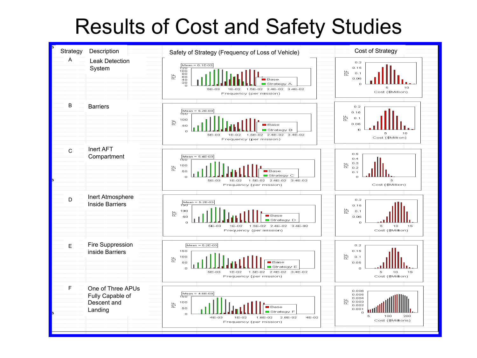#### Results of Cost and Safety Studies